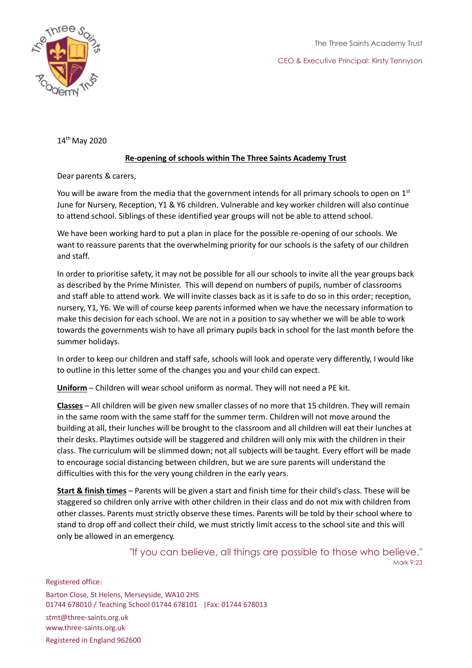



14th May 2020

## **Re-opening of schools within The Three Saints Academy Trust**

Dear parents & carers,

You will be aware from the media that the government intends for all primary schools to open on  $1<sup>st</sup>$ June for Nursery, Reception, Y1 & Y6 children. Vulnerable and key worker children will also continue to attend school. Siblings of these identified year groups will not be able to attend school.

We have been working hard to put a plan in place for the possible re-opening of our schools. We want to reassure parents that the overwhelming priority for our schools is the safety of our children and staff.

In order to prioritise safety, it may not be possible for all our schools to invite all the year groups back as described by the Prime Minister. This will depend on numbers of pupils, number of classrooms and staff able to attend work. We will invite classes back as it is safe to do so in this order; reception, nursery, Y1, Y6. We will of course keep parents informed when we have the necessary information to make this decision for each school. We are not in a position to say whether we will be able to work towards the governments wish to have all primary pupils back in school for the last month before the summer holidays.

In order to keep our children and staff safe, schools will look and operate very differently, I would like to outline in this letter some of the changes you and your child can expect.

**Uniform** – Children will wear school uniform as normal. They will not need a PE kit.

**Classes** – All children will be given new smaller classes of no more that 15 children. They will remain in the same room with the same staff for the summer term. Children will not move around the building at all, their lunches will be brought to the classroom and all children will eat their lunches at their desks. Playtimes outside will be staggered and children will only mix with the children in their class. The curriculum will be slimmed down; not all subjects will be taught. Every effort will be made to encourage social distancing between children, but we are sure parents will understand the difficulties with this for the very young children in the early years.

**Start & finish times** – Parents will be given a start and finish time for their child's class. These will be staggered so children only arrive with other children in their class and do not mix with children from other classes. Parents must strictly observe these times. Parents will be told by their school where to stand to drop off and collect their child, we must strictly limit access to the school site and this will only be allowed in an emergency.

> "If you can believe, all things are possible to those who believe." Mark 9:23

Registered office: Barton Close, St Helens, Merseyside, WA10 2HS 01744 678010 / Teaching School 01744 678101 |Fax: 01744 678013 stmt@three-saints.org.uk www.three-saints.org.uk Registered in England 962600